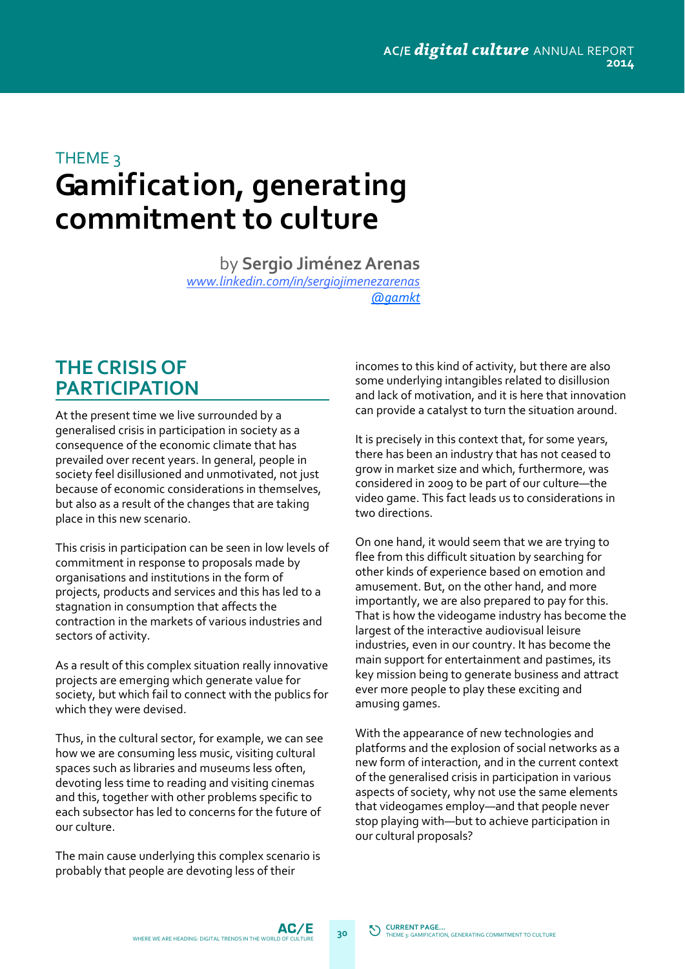### **Gamification, generating commitment to culture** THEME<sub>3</sub>

by **Sergio JiménezArenas** *www.linkedin.com/in/sergiojimenezarenas [@gamkt](https://twitter.com/gamkt)*

#### **THE CRISIS OF PARTICIPATION**

At the present time we live surrounded by a generalised crisis in participation in society as a consequence of the economic climate that has prevailed over recent years. In general, people in society feel disillusioned and unmotivated, not just because of economic considerations in themselves, but also as a result of the changes that are taking place in this new scenario.

This crisis in participation can be seen in low levels of commitment in response to proposals made by organisations and institutions in the form of projects, products and services and this has led to a stagnation in consumption that affects the contraction in the markets of various industries and sectors of activity.

As a result of this complex situation really innovative projects are emerging which generate value for society, but which fail to connect with the publics for which they were devised.

Thus, in the cultural sector, for example, we can see how we are consuming less music, visiting cultural spaces such as libraries and museums less often, devoting less time to reading and visiting cinemas and this, together with other problems specific to each subsector has led to concerns for the future of our culture.

The main cause underlying this complex scenario is probably that people are devoting less of their

incomes to this kind of activity, but there are also some underlying intangibles related to disillusion and lack of motivation, and it is here that innovation can provide a catalyst to turn the situation around.

It is precisely in this context that, for some years, there has been an industry that has not ceased to grow in market size and which, furthermore, was considered in 2009 to be part of our culture—the video game. This fact leads us to considerations in two directions.

On one hand, it would seem that we are trying to flee from this difficult situation by searching for other kinds of experience based on emotion and amusement. But, on the other hand, and more importantly, we are also prepared to pay for this. That is how the videogame industry has become the largest of the interactive audiovisual leisure industries, even in our country. It has become the main support for entertainment and pastimes, its key mission being to generate business and attract ever more people to play these exciting and amusing games.

With the appearance of new technologies and platforms and the explosion of social networks as a new form of interaction, and in the current context of the generalised crisis in participation in various aspects of society, why not use the same elements that videogames employ—and that people never stop playing with—but to achieve participation in our cultural proposals?

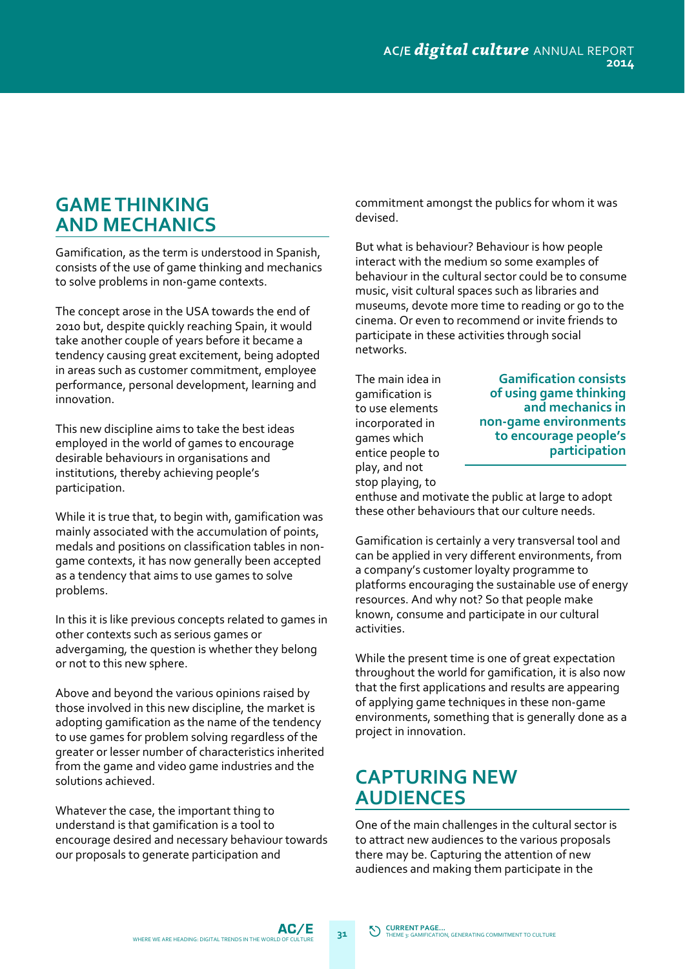### **GAMETHINKING AND MECHANICS**

Gamification, as the term is understood in Spanish, consists of the use of game thinking and mechanics to solve problems in non‐game contexts.

The concept arose in the USA towards the end of 2010 but, despite quickly reaching Spain, it would take another couple of years before it became a tendency causing great excitement, being adopted in areas such as customer commitment, employee performance, personal development, learning and innovation.

This new discipline aims to take the best ideas employed in the world of games to encourage desirable behaviours in organisations and institutions, thereby achieving people's participation.

While it is true that, to begin with, gamification was mainly associated with the accumulation of points, medals and positions on classification tables in non‐ game contexts, it has now generally been accepted as a tendency that aims to use games to solve problems.

In this it is like previous concepts related to games in other contexts such as serious games or advergaming*,* the question is whether they belong or not to this new sphere.

Above and beyond the various opinions raised by those involved in this new discipline, the market is adopting gamification as the name of the tendency to use games for problem solving regardless of the greater or lesser number of characteristics inherited from the game and video game industries and the solutions achieved.

Whatever the case, the important thing to understand is that gamification is a tool to encourage desired and necessary behaviour towards our proposals to generate participation and

commitment amongst the publics for whom it was devised.

But what is behaviour? Behaviour is how people interact with the medium so some examples of behaviour in the cultural sector could be to consume music, visit cultural spaces such as libraries and museums, devote more time to reading or go to the cinema. Or even to recommend or invite friends to participate in these activities through social networks.

The main idea in gamification is to use elements incorporated in games which entice people to play, and not stop playing, to

#### **Gamification consists of using game thinking and mechanics in non‐game environments to encourage people's participation**

enthuse and motivate the public at large to adopt these other behaviours that our culture needs.

Gamification is certainly a very transversal tool and can be applied in very different environments, from a company's customer loyalty programme to platforms encouraging the sustainable use of energy resources. And why not? So that people make known, consume and participate in our cultural activities.

While the present time is one of great expectation throughout the world for gamification, it is also now that the first applications and results are appearing of applying game techniques in these non‐game environments, something that is generally done as a project in innovation.

#### **CAPTURING NEW AUDIENCES**

One of the main challenges in the cultural sector is to attract new audiences to the various proposals there may be. Capturing the attention of new audiences and making them participate in the

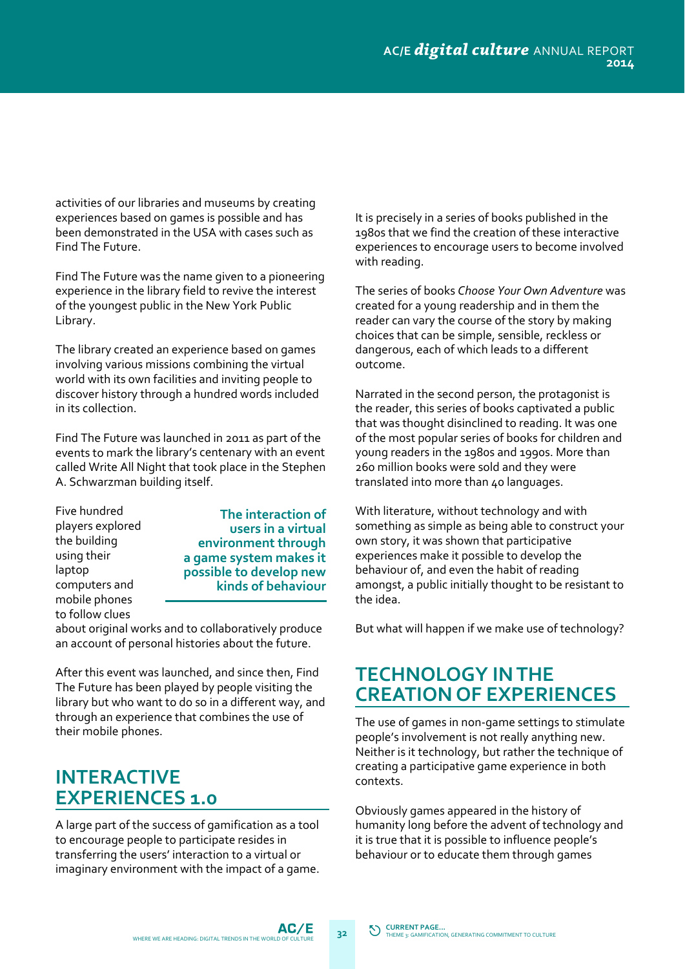activities of our libraries and museums by creating experiences based on games is possible and has been demonstrated in the USA with cases such as Find The Future.

Find The Future was the name given to a pioneering experience in the library field to revive the interest of the youngest public in the New York Public Library.

The library created an experience based on games involving various missions combining the virtual world with its own facilities and inviting people to discover history through a hundred words included in its collection.

Find The Future was launched in 2011 as part of the events to mark the library's centenary with an event called Write All Night that took place in the Stephen A. Schwarzman building itself.

Five hundred players explored the building using their laptop computers and mobile phones to follow clues

**The interaction of users in a virtual environment through a game system makes it possible to develop new kinds of behaviour**

about original works and to collaboratively produce an account of personal histories about the future.

After this event was launched, and since then, Find The Future has been played by people visiting the library but who want to do so in a different way, and through an experience that combines the use of their mobile phones.

### **INTERACTIVE EXPERIENCES 1.0**

A large part of the success of gamification as a tool to encourage people to participate resides in transferring the users' interaction to a virtual or imaginary environment with the impact of a game.

It is precisely in a series of books published in the 1980s that we find the creation of these interactive experiences to encourage users to become involved with reading.

The series of books *Choose Your Own Adventure* was created for a young readership and in them the reader can vary the course of the story by making choices that can be simple, sensible, reckless or dangerous, each of which leads to a different outcome.

Narrated in the second person, the protagonist is the reader, this series of books captivated a public that was thought disinclined to reading. It was one of the most popular series of books for children and young readers in the 1980s and 1990s. More than 260 million books were sold and they were translated into more than 40 languages.

With literature, without technology and with something as simple as being able to construct your own story, it was shown that participative experiences make it possible to develop the behaviour of, and even the habit of reading amongst, a public initially thought to be resistant to the idea.

But what will happen if we make use of technology?

#### **TECHNOLOGY INTHE CREATION OF EXPERIENCES**

The use of games in non-game settings to stimulate people's involvement is not really anything new. Neither is it technology, but rather the technique of creating a participative game experience in both contexts.

Obviously games appeared in the history of humanity long before the advent of technology and it is true that it is possible to influence people's behaviour or to educate them through games

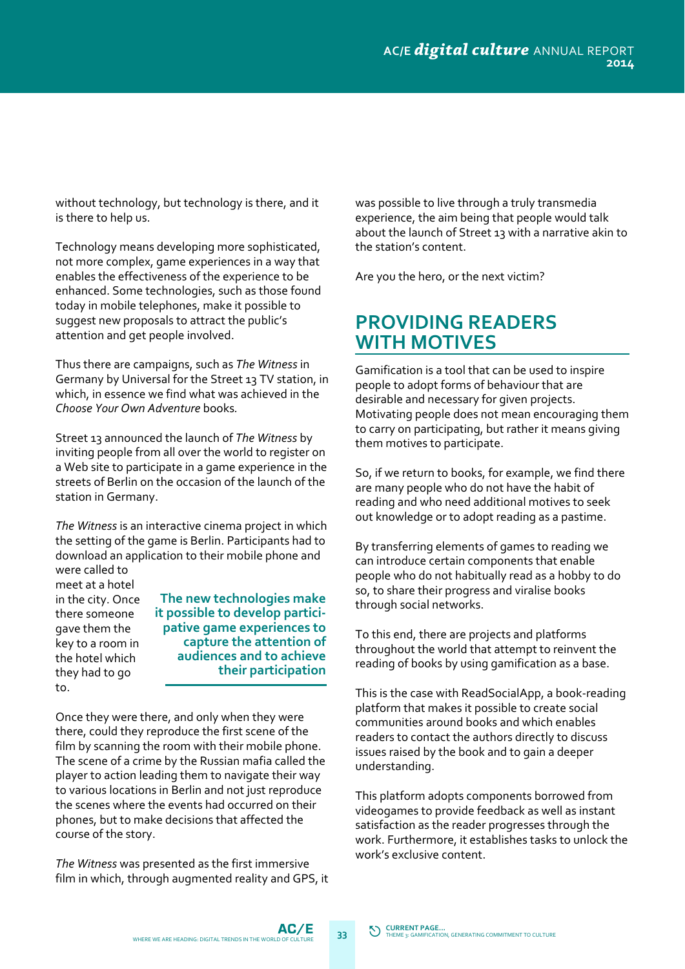without technology, but technology is there, and it is there to help us.

Technology means developing more sophisticated, not more complex, game experiences in a way that enables the effectiveness of the experience to be enhanced. Some technologies, such as those found today in mobile telephones, make it possible to suggest new proposals to attract the public's attention and get people involved.

Thus there are campaigns, such as *The Witness* in Germany by Universal for the Street 13 TV station, in which, in essence we find what was achieved in the *Choose Your Own Adventure* books*.* 

Street 13 announced the launch of *The Witness* by inviting people from all over the world to register on a Web site to participate in a game experience in the streets of Berlin on the occasion of the launch of the station in Germany.

*The Witness* is an interactive cinema project in which the setting of the game is Berlin. Participants had to download an application to their mobile phone and were called to

meet at a hotel in the city. Once there someone gave them the key to a room in the hotel which they had to go to.

**The new technologies make it possible to develop partici‐ pative game experiences to capture the attention of audiences and to achieve their participation**

Once they were there, and only when they were there, could they reproduce the first scene of the film by scanning the room with their mobile phone. The scene of a crime by the Russian mafia called the player to action leading them to navigate their way to various locations in Berlin and not just reproduce the scenes where the events had occurred on their phones, but to make decisions that affected the course of the story.

*The Witness* was presented as the first immersive film in which, through augmented reality and GPS, it was possible to live through a truly transmedia experience, the aim being that people would talk about the launch of Street 13 with a narrative akin to the station's content.

Are you the hero, or the next victim?

### **PROVIDING READERS WITH MOTIVES**

Gamification is a tool that can be used to inspire people to adopt forms of behaviour that are desirable and necessary for given projects. Motivating people does not mean encouraging them to carry on participating, but rather it means giving them motives to participate.

So, if we return to books, for example, we find there are many people who do not have the habit of reading and who need additional motives to seek out knowledge or to adopt reading as a pastime.

By transferring elements of games to reading we can introduce certain components that enable people who do not habitually read as a hobby to do so, to share their progress and viralise books through social networks.

To this end, there are projects and platforms throughout the world that attempt to reinvent the reading of books by using gamification as a base.

This is the case with ReadSocialApp, a book‐reading platform that makes it possible to create social communities around books and which enables readers to contact the authors directly to discuss issues raised by the book and to gain a deeper understanding.

This platform adopts components borrowed from videogames to provide feedback as well as instant satisfaction as the reader progresses through the work. Furthermore, it establishes tasks to unlock the work's exclusive content.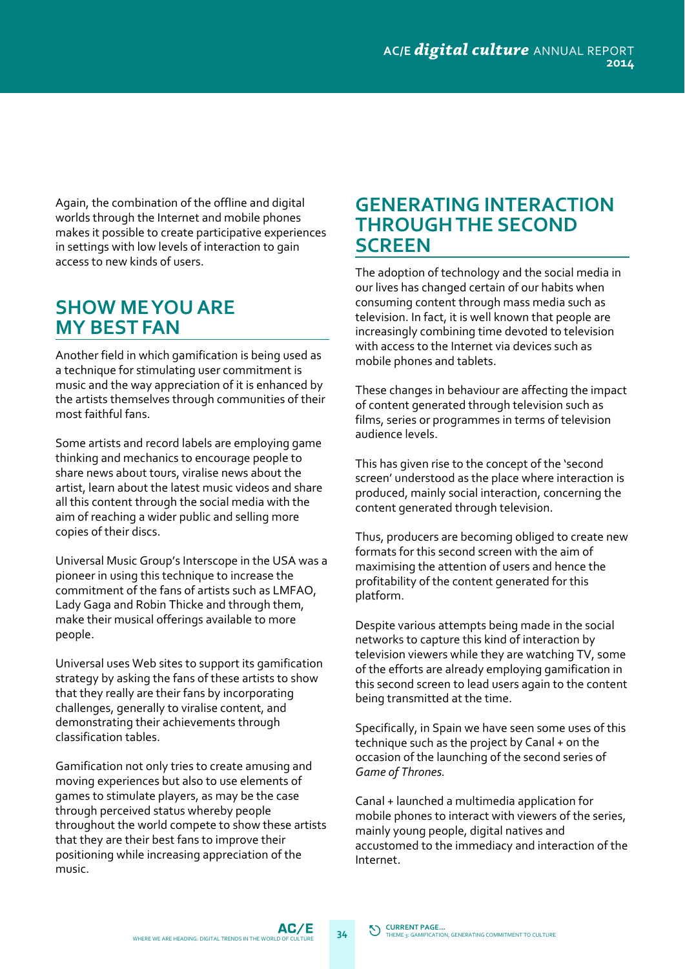Again, the combination of the offline and digital worlds through the Internet and mobile phones makes it possible to create participative experiences in settings with low levels of interaction to gain access to new kinds of users.

### **SHOW MEYOU ARE MY BEST FAN**

Another field in which gamification is being used as a technique for stimulating user commitment is music and the way appreciation of it is enhanced by the artists themselves through communities of their most faithful fans.

Some artists and record labels are employing game thinking and mechanics to encourage people to share news about tours, viralise news about the artist, learn about the latest music videos and share all this content through the social media with the aim of reaching a wider public and selling more copies of their discs.

Universal Music Group's Interscope in the USA was a pioneer in using this technique to increase the commitment of the fans of artists such as LMFAO, Lady Gaga and Robin Thicke and through them, make their musical offerings available to more people.

Universal uses Web sites to support its gamification strategy by asking the fans of these artists to show that they really are their fans by incorporating challenges, generally to viralise content, and demonstrating their achievements through classification tables.

Gamification not only tries to create amusing and moving experiences but also to use elements of games to stimulate players, as may be the case through perceived status whereby people throughout the world compete to show these artists that they are their best fans to improve their positioning while increasing appreciation of the music.

#### **GENERATING INTERACTION THROUGHTHE SECOND SCREEN**

The adoption of technology and the social media in our lives has changed certain of our habits when consuming content through mass media such as television. In fact, it is well known that people are increasingly combining time devoted to television with access to the Internet via devices such as mobile phones and tablets.

These changes in behaviour are affecting the impact of content generated through television such as films, series or programmes in terms of television audience levels.

This has given rise to the concept of the 'second screen' understood as the place where interaction is produced, mainly social interaction, concerning the content generated through television.

Thus, producers are becoming obliged to create new formats for this second screen with the aim of maximising the attention of users and hence the profitability of the content generated for this platform.

Despite various attempts being made in the social networks to capture this kind of interaction by television viewers while they are watching TV, some of the efforts are already employing gamification in this second screen to lead users again to the content being transmitted at the time.

Specifically, in Spain we have seen some uses of this technique such as the project by Canal + on the occasion of the launching of the second series of *Game of Thrones.*

Canal + launched a multimedia application for mobile phones to interact with viewers of the series, mainly young people, digital natives and accustomed to the immediacy and interaction of the Internet.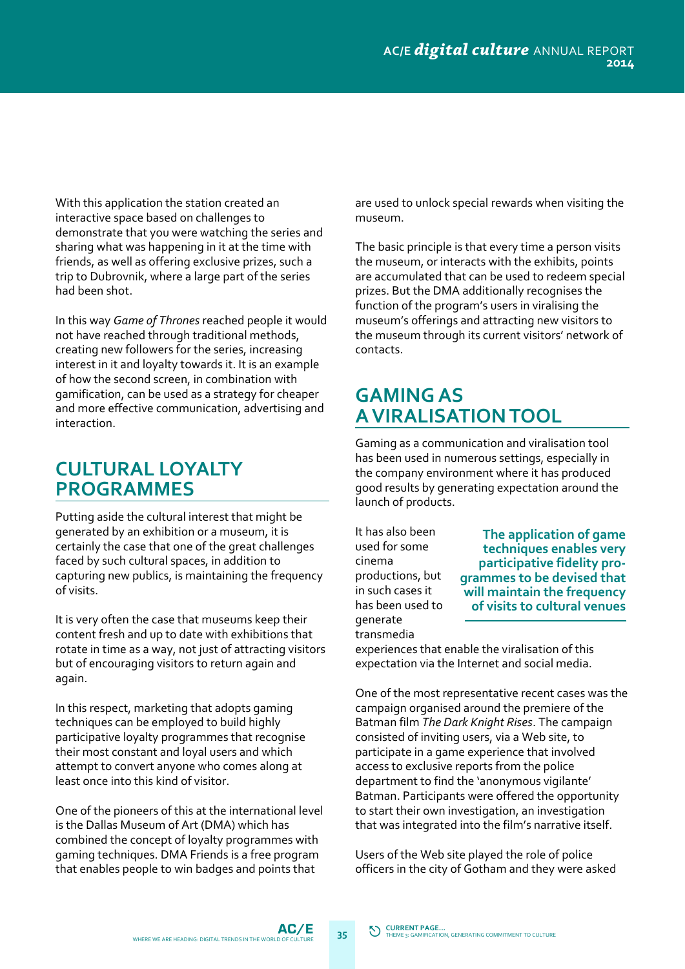With this application the station created an interactive space based on challenges to demonstrate that you were watching the series and sharing what was happening in it at the time with friends, as well as offering exclusive prizes, such a trip to Dubrovnik, where a large part of the series had been shot.

In this way *Game of Thrones* reached people it would not have reached through traditional methods, creating new followers for the series, increasing interest in it and loyalty towards it. It is an example of how the second screen, in combination with gamification, can be used as a strategy for cheaper and more effective communication, advertising and interaction.

#### **CULTURAL LOYALTY PROGRAMMES**

Putting aside the cultural interest that might be generated by an exhibition or a museum, it is certainly the case that one of the great challenges faced by such cultural spaces, in addition to capturing new publics, is maintaining the frequency of visits.

It is very often the case that museums keep their content fresh and up to date with exhibitions that rotate in time as a way, not just of attracting visitors but of encouraging visitors to return again and again.

In this respect, marketing that adopts gaming techniques can be employed to build highly participative loyalty programmes that recognise their most constant and loyal users and which attempt to convert anyone who comes along at least once into this kind of visitor.

One of the pioneers of this at the international level is the Dallas Museum of Art (DMA) which has combined the concept of loyalty programmes with gaming techniques. DMA Friends is a free program that enables people to win badges and points that

are used to unlock special rewards when visiting the museum.

The basic principle is that every time a person visits the museum, or interacts with the exhibits, points are accumulated that can be used to redeem special prizes. But the DMA additionally recognises the function of the program's users in viralising the museum's offerings and attracting new visitors to the museum through its current visitors' network of contacts.

# **GAMINGAS AVIRALISATIONTOOL**

Gaming as a communication and viralisation tool has been used in numerous settings, especially in the company environment where it has produced good results by generating expectation around the launch of products.

It has also been used for some cinema productions, but in such cases it has been used to generate transmedia

**The application of game techniques enables very participative fidelity pro‐ grammes to be devised that will maintain the frequency of visits to cultural venues**

experiences that enable the viralisation of this expectation via the Internet and social media.

One of the most representative recent cases was the campaign organised around the premiere of the Batman film *The Dark Knight Rises*. The campaign consisted of inviting users, via a Web site, to participate in a game experience that involved access to exclusive reports from the police department to find the 'anonymous vigilante' Batman. Participants were offered the opportunity to start their own investigation, an investigation that was integrated into the film's narrative itself.

Users of the Web site played the role of police officers in the city of Gotham and they were asked

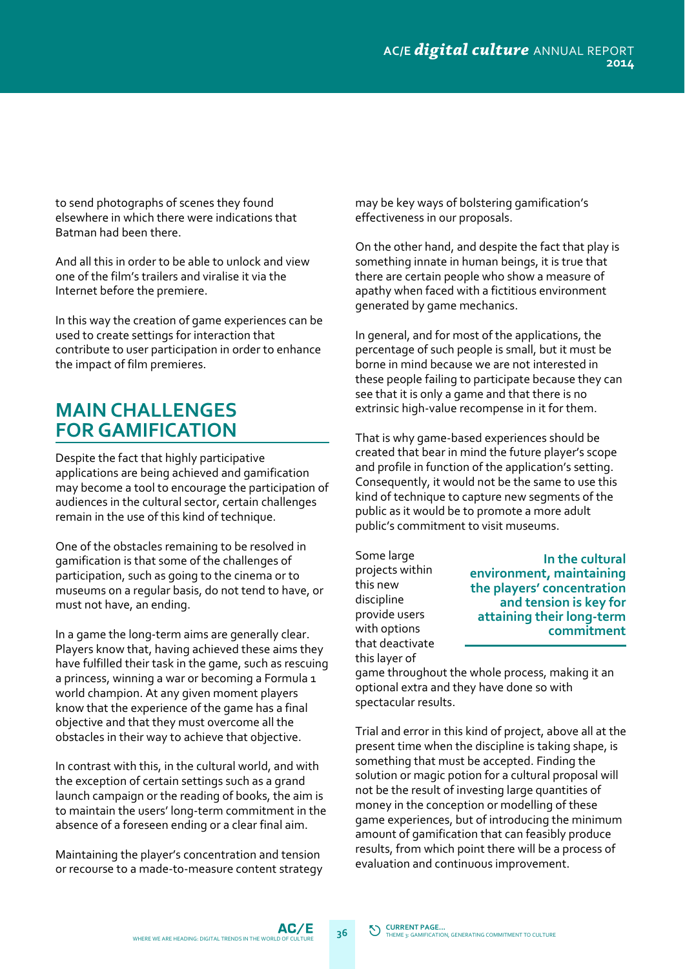to send photographs of scenes they found elsewhere in which there were indications that Batman had been there.

And all this in order to be able to unlock and view one of the film's trailers and viralise it via the Internet before the premiere.

In this way the creation of game experiences can be used to create settings for interaction that contribute to user participation in order to enhance the impact of film premieres.

## **MAIN CHALLENGES FORGAMIFICATION**

Despite the fact that highly participative applications are being achieved and gamification may become a tool to encourage the participation of audiences in the cultural sector, certain challenges remain in the use of this kind of technique.

One of the obstacles remaining to be resolved in gamification is that some of the challenges of participation, such as going to the cinema or to museums on a regular basis, do not tend to have, or must not have, an ending.

In a game the long‐term aims are generally clear. Players know that, having achieved these aims they have fulfilled their task in the game, such as rescuing a princess, winning a war or becoming a Formula 1 world champion. At any given moment players know that the experience of the game has a final objective and that they must overcome all the obstacles in their way to achieve that objective.

In contrast with this, in the cultural world, and with the exception of certain settings such as a grand launch campaign or the reading of books, the aim is to maintain the users' long‐term commitment in the absence of a foreseen ending or a clear final aim.

Maintaining the player's concentration and tension or recourse to a made‐to‐measure content strategy may be key ways of bolstering gamification's effectiveness in our proposals.

On the other hand, and despite the fact that play is something innate in human beings, it is true that there are certain people who show a measure of apathy when faced with a fictitious environment generated by game mechanics.

In general, and for most of the applications, the percentage of such people is small, but it must be borne in mind because we are not interested in these people failing to participate because they can see that it is only a game and that there is no extrinsic high‐value recompense in it for them.

That is why game‐based experiences should be created that bear in mind the future player's scope and profile in function of the application's setting. Consequently, it would not be the same to use this kind of technique to capture new segments of the public as it would be to promote a more adult public's commitment to visit museums.

Some large projects within this new discipline provide users with options that deactivate this layer of

**In the cultural environment, maintaining the players' concentration and tension is key for attaining their long‐term commitment**

game throughout the whole process, making it an optional extra and they have done so with spectacular results.

Trial and error in this kind of project, above all at the present time when the discipline is taking shape, is something that must be accepted. Finding the solution or magic potion for a cultural proposal will not be the result of investing large quantities of money in the conception or modelling of these game experiences, but of introducing the minimum amount of gamification that can feasibly produce results, from which point there will be a process of evaluation and continuous improvement.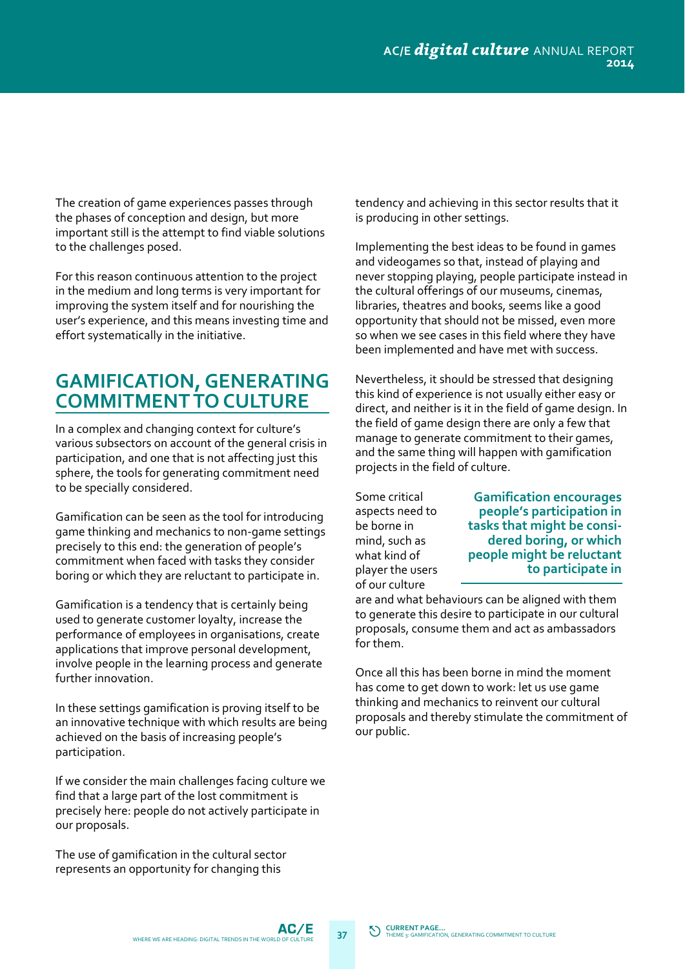The creation of game experiences passes through the phases of conception and design, but more important still is the attempt to find viable solutions to the challenges posed.

For this reason continuous attention to the project in the medium and long terms is very important for improving the system itself and for nourishing the user's experience, and this means investing time and effort systematically in the initiative.

#### **GAMIFICATION, GENERATING COMMITMENTTO CULTURE**

In a complex and changing context for culture's various subsectors on account of the general crisis in participation, and one that is not affecting just this sphere, the tools for generating commitment need to be specially considered.

Gamification can be seen as the tool for introducing game thinking and mechanics to non‐game settings precisely to this end: the generation of people's commitment when faced with tasks they consider boring or which they are reluctant to participate in.

Gamification is a tendency that is certainly being used to generate customer loyalty, increase the performance of employees in organisations, create applications that improve personal development, involve people in the learning process and generate further innovation.

In these settings gamification is proving itself to be an innovative technique with which results are being achieved on the basis of increasing people's participation.

If we consider the main challenges facing culture we find that a large part of the lost commitment is precisely here: people do not actively participate in our proposals.

The use of gamification in the cultural sector represents an opportunity for changing this

tendency and achieving in this sector results that it is producing in other settings.

Implementing the best ideas to be found in games and videogames so that, instead of playing and never stopping playing, people participate instead in the cultural offerings of our museums, cinemas, libraries, theatres and books, seems like a good opportunity that should not be missed, even more so when we see cases in this field where they have been implemented and have met with success.

Nevertheless, it should be stressed that designing this kind of experience is not usually either easy or direct, and neither is it in the field of game design. In the field of game design there are only a few that manage to generate commitment to their games, and the same thing will happen with gamification projects in the field of culture.

Some critical aspects need to be borne in mind, such as what kind of player the users of our culture

**Gamification encourages people's participation in tasks that might be consi‐ dered boring, or which people might be reluctant to participate in**

are and what behaviours can be aligned with them to generate this desire to participate in our cultural proposals, consume them and act as ambassadors for them.

Once all this has been borne in mind the moment has come to get down to work: let us use game thinking and mechanics to reinvent our cultural proposals and thereby stimulate the commitment of our public.